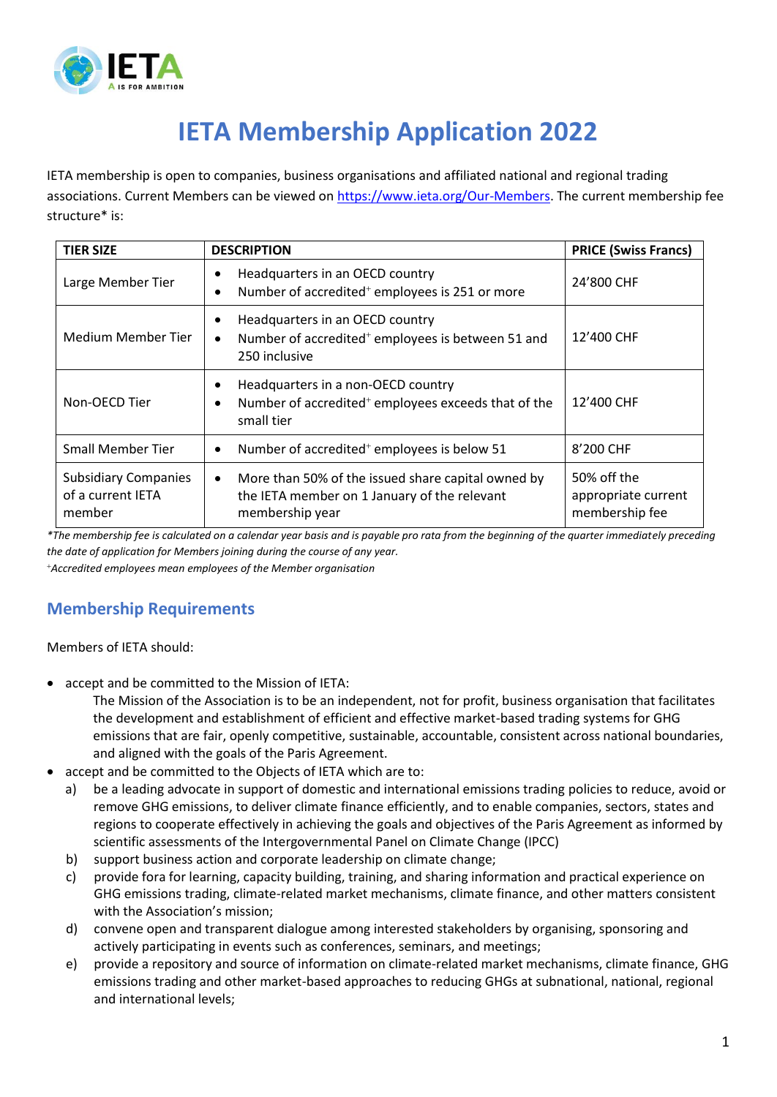

## **IETA Membership Application 2022**

IETA membership is open to companies, business organisations and affiliated national and regional trading associations. Current Members can be viewed on [https://www.ieta.org/Our-Members.](https://www.ieta.org/Our-Members) The current membership fee structure\* is:

| <b>TIER SIZE</b>                                           | <b>DESCRIPTION</b>                                                                                                    | <b>PRICE (Swiss Francs)</b>                          |
|------------------------------------------------------------|-----------------------------------------------------------------------------------------------------------------------|------------------------------------------------------|
| Large Member Tier                                          | Headquarters in an OECD country<br>Number of accredited <sup>+</sup> employees is 251 or more                         | 24'800 CHF                                           |
| Medium Member Tier                                         | Headquarters in an OECD country<br>Number of accredited <sup>+</sup> employees is between 51 and<br>250 inclusive     | 12'400 CHF                                           |
| Non-OECD Tier                                              | Headquarters in a non-OECD country<br>Number of accredited <sup>+</sup> employees exceeds that of the<br>small tier   | 12'400 CHF                                           |
| <b>Small Member Tier</b>                                   | Number of accredited <sup>+</sup> employees is below 51                                                               | 8'200 CHF                                            |
| <b>Subsidiary Companies</b><br>of a current IETA<br>member | More than 50% of the issued share capital owned by<br>the IETA member on 1 January of the relevant<br>membership year | 50% off the<br>appropriate current<br>membership fee |

*\*The membership fee is calculated on a calendar year basis and is payable pro rata from the beginning of the quarter immediately preceding the date of application for Members joining during the course of any year.*

<sup>+</sup>*Accredited employees mean employees of the Member organisation*

## **Membership Requirements**

Members of IETA should:

accept and be committed to the Mission of IETA:

The Mission of the Association is to be an independent, not for profit, business organisation that facilitates the development and establishment of efficient and effective market-based trading systems for GHG emissions that are fair, openly competitive, sustainable, accountable, consistent across national boundaries, and aligned with the goals of the Paris Agreement.

- accept and be committed to the Objects of IETA which are to:
	- a) be a leading advocate in support of domestic and international emissions trading policies to reduce, avoid or remove GHG emissions, to deliver climate finance efficiently, and to enable companies, sectors, states and regions to cooperate effectively in achieving the goals and objectives of the Paris Agreement as informed by scientific assessments of the Intergovernmental Panel on Climate Change (IPCC)
	- b) support business action and corporate leadership on climate change;
	- c) provide fora for learning, capacity building, training, and sharing information and practical experience on GHG emissions trading, climate-related market mechanisms, climate finance, and other matters consistent with the Association's mission;
	- d) convene open and transparent dialogue among interested stakeholders by organising, sponsoring and actively participating in events such as conferences, seminars, and meetings;
	- e) provide a repository and source of information on climate-related market mechanisms, climate finance, GHG emissions trading and other market-based approaches to reducing GHGs at subnational, national, regional and international levels;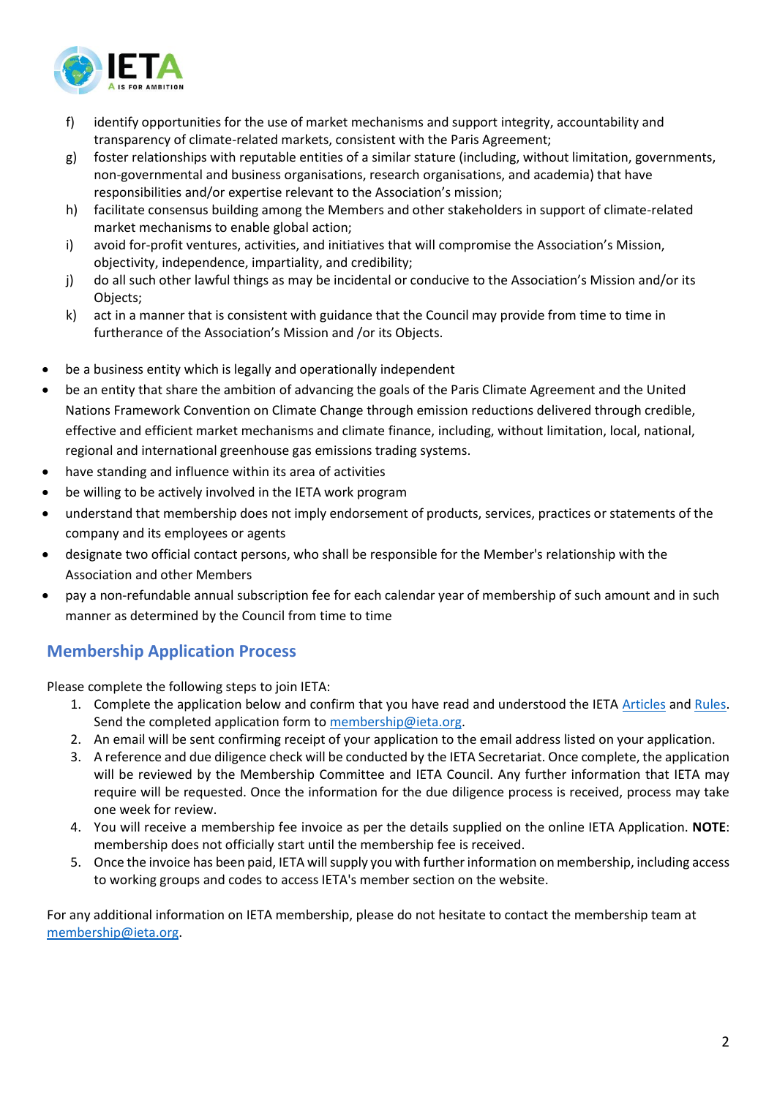

- f) identify opportunities for the use of market mechanisms and support integrity, accountability and transparency of climate-related markets, consistent with the Paris Agreement;
- g) foster relationships with reputable entities of a similar stature (including, without limitation, governments, non-governmental and business organisations, research organisations, and academia) that have responsibilities and/or expertise relevant to the Association's mission;
- h) facilitate consensus building among the Members and other stakeholders in support of climate-related market mechanisms to enable global action;
- i) avoid for-profit ventures, activities, and initiatives that will compromise the Association's Mission, objectivity, independence, impartiality, and credibility;
- j) do all such other lawful things as may be incidental or conducive to the Association's Mission and/or its Objects;
- k) act in a manner that is consistent with guidance that the Council may provide from time to time in furtherance of the Association's Mission and /or its Objects.
- be a business entity which is legally and operationally independent
- be an entity that share the ambition of advancing the goals of the Paris Climate Agreement and the United Nations Framework Convention on Climate Change through emission reductions delivered through credible, effective and efficient market mechanisms and climate finance, including, without limitation, local, national, regional and international greenhouse gas emissions trading systems.
- have standing and influence within its area of activities
- be willing to be actively involved in the IETA work program
- understand that membership does not imply endorsement of products, services, practices or statements of the company and its employees or agents
- designate two official contact persons, who shall be responsible for the Member's relationship with the Association and other Members
- pay a non-refundable annual subscription fee for each calendar year of membership of such amount and in such manner as determined by the Council from time to time

## **Membership Application Process**

Please complete the following steps to join IETA:

- 1. Complete the application below and confirm that you have read and understood the IETA [Articles](https://ieta.org/resources/Secretariat/IETA-Articles-Oct2020.pdf) and [Rules.](https://ieta.org/resources/Secretariat/IETA-Rules-and-BylawsOct2020.pdf) Send the completed application form t[o membership@ieta.org.](mailto:membership@ieta.org)
- 2. An email will be sent confirming receipt of your application to the email address listed on your application.
- 3. A reference and due diligence check will be conducted by the IETA Secretariat. Once complete, the application will be reviewed by the Membership Committee and IETA Council. Any further information that IETA may require will be requested. Once the information for the due diligence process is received, process may take one week for review.
- 4. You will receive a membership fee invoice as per the details supplied on the online IETA Application. **NOTE**: membership does not officially start until the membership fee is received.
- 5. Once the invoice has been paid, IETA will supply you with further information on membership, including access to working groups and codes to access IETA's member section on the website.

For any additional information on IETA membership, please do not hesitate to contact the membership team at [membership@ieta.org.](mailto:membership@ieta.org)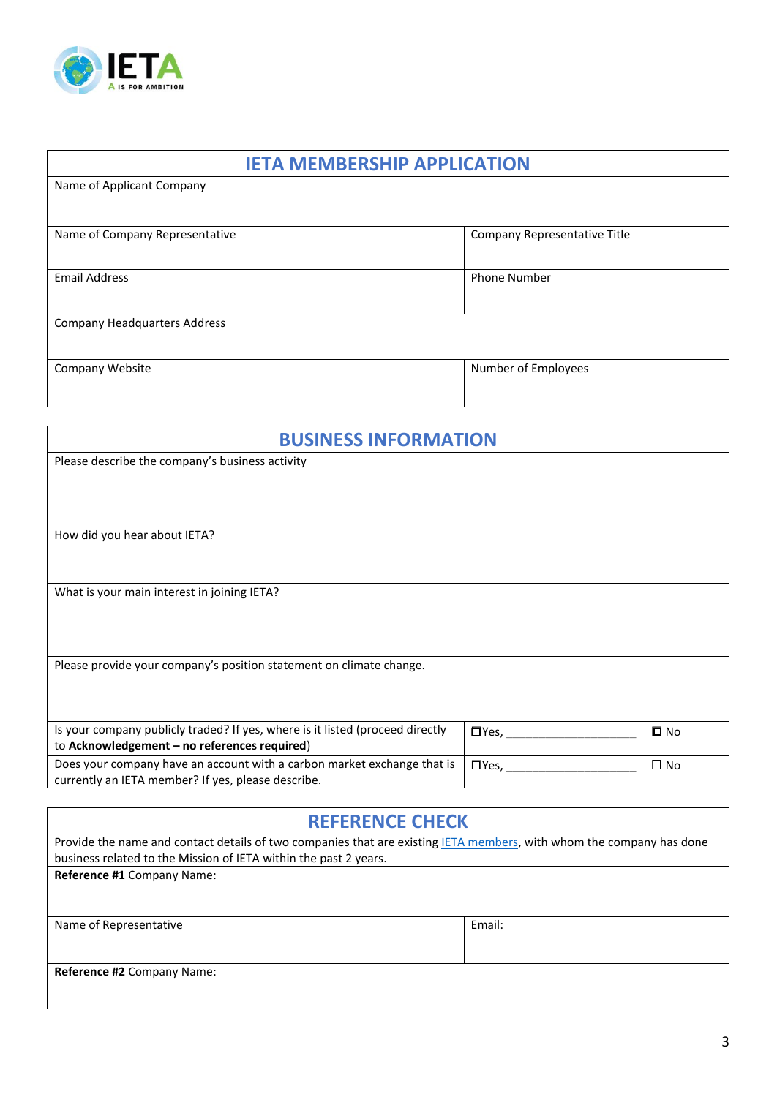

| <b>IETA MEMBERSHIP APPLICATION</b>  |                              |  |  |  |
|-------------------------------------|------------------------------|--|--|--|
| Name of Applicant Company           |                              |  |  |  |
|                                     |                              |  |  |  |
| Name of Company Representative      | Company Representative Title |  |  |  |
| <b>Email Address</b>                | <b>Phone Number</b>          |  |  |  |
| <b>Company Headquarters Address</b> |                              |  |  |  |
| Company Website                     | Number of Employees          |  |  |  |

| <b>BUSINESS INFORMATION</b>                                                                                                                                                                          |             |              |  |
|------------------------------------------------------------------------------------------------------------------------------------------------------------------------------------------------------|-------------|--------------|--|
| Please describe the company's business activity                                                                                                                                                      |             |              |  |
|                                                                                                                                                                                                      |             |              |  |
|                                                                                                                                                                                                      |             |              |  |
|                                                                                                                                                                                                      |             |              |  |
| How did you hear about IETA?                                                                                                                                                                         |             |              |  |
|                                                                                                                                                                                                      |             |              |  |
| What is your main interest in joining IETA?                                                                                                                                                          |             |              |  |
|                                                                                                                                                                                                      |             |              |  |
|                                                                                                                                                                                                      |             |              |  |
|                                                                                                                                                                                                      |             |              |  |
|                                                                                                                                                                                                      |             |              |  |
|                                                                                                                                                                                                      |             |              |  |
|                                                                                                                                                                                                      |             |              |  |
|                                                                                                                                                                                                      |             |              |  |
| Does your company have an account with a carbon market exchange that is                                                                                                                              |             | $\square$ No |  |
| currently an IETA member? If yes, please describe.                                                                                                                                                   |             |              |  |
| Please provide your company's position statement on climate change.<br>Is your company publicly traded? If yes, where is it listed (proceed directly<br>to Acknowledgement - no references required) | $\Box$ Yes, | $\Box$ No    |  |

| <b>REFERENCE CHECK</b>                                                                                               |        |  |  |  |
|----------------------------------------------------------------------------------------------------------------------|--------|--|--|--|
| Provide the name and contact details of two companies that are existing IETA members, with whom the company has done |        |  |  |  |
| business related to the Mission of IETA within the past 2 years.                                                     |        |  |  |  |
| Reference #1 Company Name:                                                                                           |        |  |  |  |
|                                                                                                                      |        |  |  |  |
| Name of Representative                                                                                               | Email: |  |  |  |
|                                                                                                                      |        |  |  |  |
| Reference #2 Company Name:                                                                                           |        |  |  |  |